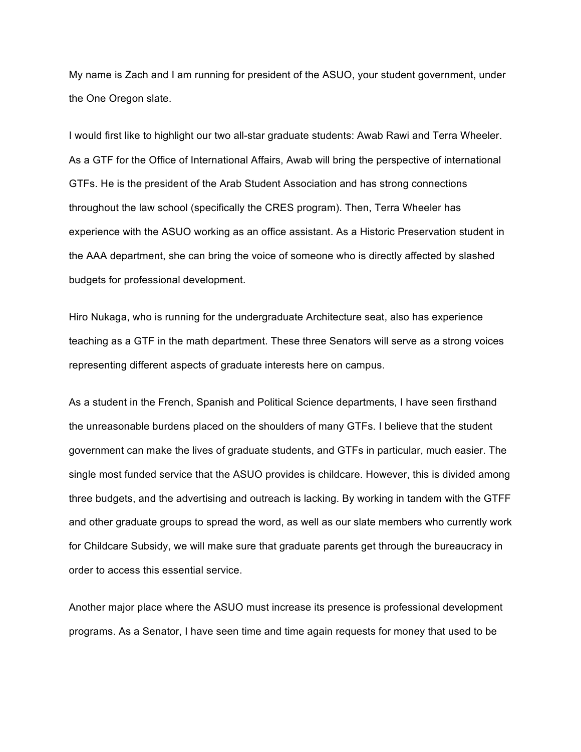My name is Zach and I am running for president of the ASUO, your student government, under the One Oregon slate.

I would first like to highlight our two all-star graduate students: Awab Rawi and Terra Wheeler. As a GTF for the Office of International Affairs, Awab will bring the perspective of international GTFs. He is the president of the Arab Student Association and has strong connections throughout the law school (specifically the CRES program). Then, Terra Wheeler has experience with the ASUO working as an office assistant. As a Historic Preservation student in the AAA department, she can bring the voice of someone who is directly affected by slashed budgets for professional development.

Hiro Nukaga, who is running for the undergraduate Architecture seat, also has experience teaching as a GTF in the math department. These three Senators will serve as a strong voices representing different aspects of graduate interests here on campus.

As a student in the French, Spanish and Political Science departments, I have seen firsthand the unreasonable burdens placed on the shoulders of many GTFs. I believe that the student government can make the lives of graduate students, and GTFs in particular, much easier. The single most funded service that the ASUO provides is childcare. However, this is divided among three budgets, and the advertising and outreach is lacking. By working in tandem with the GTFF and other graduate groups to spread the word, as well as our slate members who currently work for Childcare Subsidy, we will make sure that graduate parents get through the bureaucracy in order to access this essential service.

Another major place where the ASUO must increase its presence is professional development programs. As a Senator, I have seen time and time again requests for money that used to be